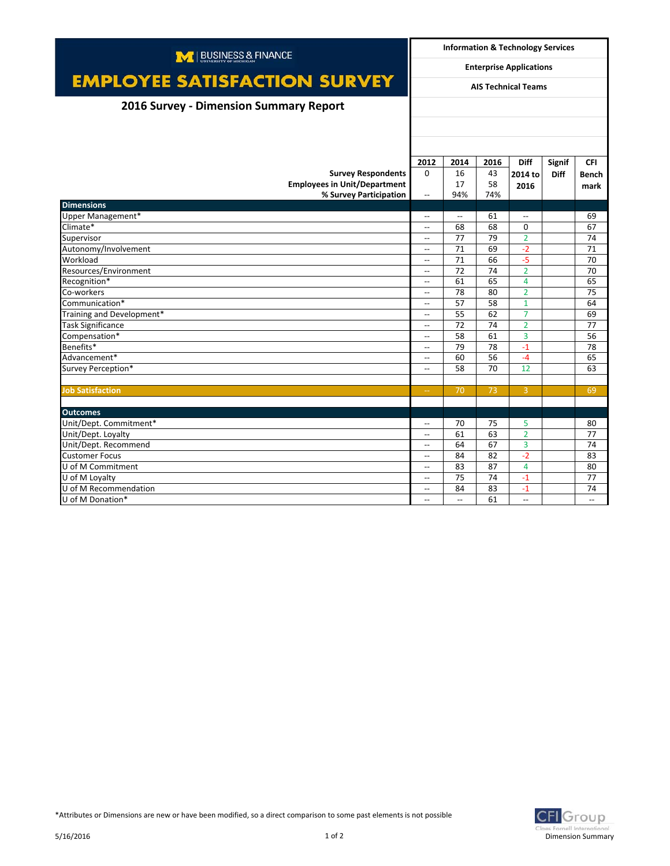| M   BUSINESS & FINANCE                 |                                                      | <b>Information &amp; Technology Services</b> |          |                          |             |                          |  |
|----------------------------------------|------------------------------------------------------|----------------------------------------------|----------|--------------------------|-------------|--------------------------|--|
|                                        |                                                      | <b>Enterprise Applications</b>               |          |                          |             |                          |  |
| <b>EMPLOYEE SATISFACTION SURVEY</b>    | <b>AIS Technical Teams</b>                           |                                              |          |                          |             |                          |  |
| 2016 Survey - Dimension Summary Report |                                                      |                                              |          |                          |             |                          |  |
|                                        |                                                      |                                              |          |                          |             |                          |  |
|                                        |                                                      |                                              |          |                          |             |                          |  |
|                                        |                                                      |                                              |          |                          |             |                          |  |
|                                        | 2012                                                 | 2014                                         | 2016     | <b>Diff</b>              | Signif      | <b>CFI</b>               |  |
| <b>Survey Respondents</b>              | $\Omega$                                             | 16                                           | 43       | 2014 to                  | <b>Diff</b> | <b>Bench</b>             |  |
| <b>Employees in Unit/Department</b>    |                                                      | 17                                           | 58       | 2016                     |             | mark                     |  |
| % Survey Participation                 | $\overline{\phantom{a}}$                             | 94%                                          | 74%      |                          |             |                          |  |
| <b>Dimensions</b>                      |                                                      |                                              |          |                          |             |                          |  |
| Upper Management*<br>Climate*          | $\overline{\phantom{a}}$                             | $\overline{\phantom{a}}$                     | 61       | $\overline{\phantom{0}}$ |             | 69                       |  |
|                                        | $\overline{\phantom{a}}$                             | 68                                           | 68       | $\mathbf 0$              |             | 67                       |  |
| Supervisor<br>Autonomy/Involvement     | $\overline{\phantom{a}}$                             | 77<br>71                                     | 79<br>69 | $\overline{2}$<br>$-2$   |             | 74<br>71                 |  |
|                                        | $\overline{\phantom{a}}$<br>$\overline{\phantom{a}}$ | 71                                           | 66       | $-5$                     |             |                          |  |
| Workload<br>Resources/Environment      |                                                      | 72                                           | 74       | $\overline{2}$           |             | 70<br>70                 |  |
| Recognition*                           | $\overline{\phantom{a}}$<br>$\overline{a}$           | 61                                           | 65       | 4                        |             | 65                       |  |
| Co-workers                             |                                                      | 78                                           | 80       | $\overline{2}$           |             | 75                       |  |
| Communication*                         | $\overline{\phantom{a}}$<br>$\overline{\phantom{a}}$ | 57                                           | 58       | $\mathbf{1}$             |             | 64                       |  |
| Training and Development*              | $\hspace{0.05cm} \ldots$                             | 55                                           | 62       | $\overline{7}$           |             | 69                       |  |
| <b>Task Significance</b>               | $\overline{\phantom{a}}$                             | 72                                           | 74       | $\overline{2}$           |             | 77                       |  |
| Compensation*                          | $\hspace{0.05cm} \ldots$                             | 58                                           | 61       | 3                        |             | 56                       |  |
| Benefits*                              | $\overline{\phantom{a}}$                             | 79                                           | 78       | $-1$                     |             | 78                       |  |
| Advancement*                           | $\overline{\phantom{a}}$                             | 60                                           | 56       | $-4$                     |             | 65                       |  |
| Survey Perception*                     | $\overline{\phantom{a}}$                             | 58                                           | 70       | 12                       |             | 63                       |  |
|                                        |                                                      |                                              |          |                          |             |                          |  |
| <b>Job Satisfaction</b>                | $\rightarrow$                                        | 70                                           | 73       | $\overline{3}$           |             | 69                       |  |
|                                        |                                                      |                                              |          |                          |             |                          |  |
| <b>Outcomes</b>                        |                                                      |                                              |          |                          |             |                          |  |
| Unit/Dept. Commitment*                 | $\overline{\phantom{a}}$                             | 70                                           | 75       | 5                        |             | 80                       |  |
| Unit/Dept. Loyalty                     | $\overline{\phantom{a}}$                             | 61                                           | 63       | $\overline{2}$           |             | 77                       |  |
| Unit/Dept. Recommend                   | $\overline{\phantom{a}}$                             | 64                                           | 67       | 3                        |             | 74                       |  |
| <b>Customer Focus</b>                  | $\overline{\phantom{a}}$                             | 84                                           | 82       | $-2$                     |             | 83                       |  |
| U of M Commitment                      | $\overline{\phantom{0}}$                             | 83                                           | 87       | $\overline{4}$           |             | 80                       |  |
| U of M Loyalty                         | $\overline{\phantom{a}}$                             | 75                                           | 74       | $-1$                     |             | 77                       |  |
| U of M Recommendation                  | $\overline{\phantom{a}}$                             | 84                                           | 83       | $-1$                     |             | 74                       |  |
| U of M Donation*                       | $-$                                                  | $\overline{\phantom{a}}$                     | 61       | $\overline{\phantom{a}}$ |             | $\overline{\phantom{a}}$ |  |